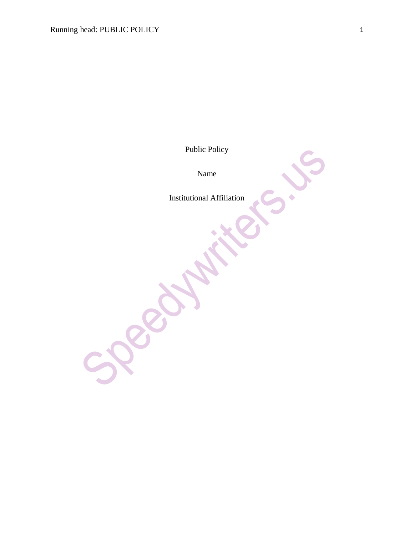Public Policy

Name

Institutional Affiliation

 $\sum_{i=1}^{n}$ 

 $\ddot{\bullet}$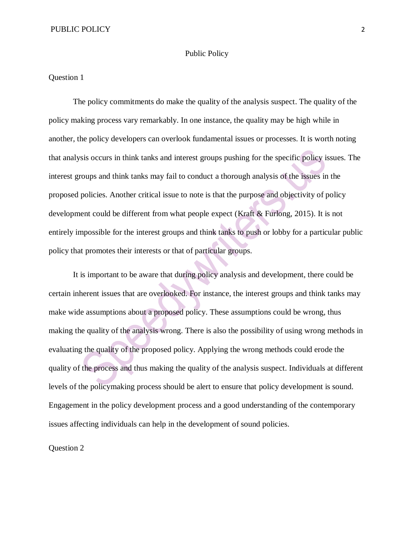## Public Policy

## Question 1

The policy commitments do make the quality of the analysis suspect. The quality of the policy making process vary remarkably. In one instance, the quality may be high while in another, the policy developers can overlook fundamental issues or processes. It is worth noting that analysis occurs in think tanks and interest groups pushing for the specific policy issues. The interest groups and think tanks may fail to conduct a thorough analysis of the issues in the proposed policies. Another critical issue to note is that the purpose and objectivity of policy development could be different from what people expect (Kraft & Furlong, 2015). It is not entirely impossible for the interest groups and think tanks to push or lobby for a particular public policy that promotes their interests or that of particular groups.

It is important to be aware that during policy analysis and development, there could be certain inherent issues that are overlooked. For instance, the interest groups and think tanks may make wide assumptions about a proposed policy. These assumptions could be wrong, thus making the quality of the analysis wrong. There is also the possibility of using wrong methods in evaluating the quality of the proposed policy. Applying the wrong methods could erode the quality of the process and thus making the quality of the analysis suspect. Individuals at different levels of the policymaking process should be alert to ensure that policy development is sound. Engagement in the policy development process and a good understanding of the contemporary issues affecting individuals can help in the development of sound policies.

Question 2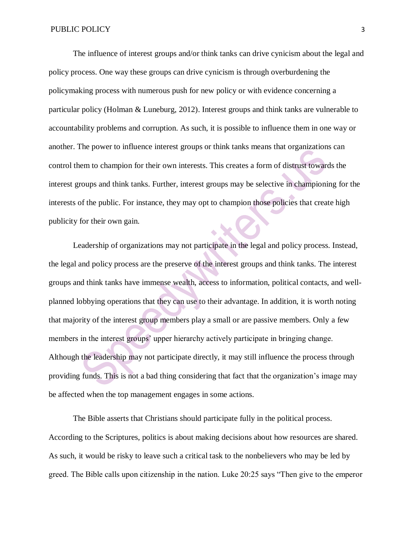The influence of interest groups and/or think tanks can drive cynicism about the legal and policy process. One way these groups can drive cynicism is through overburdening the policymaking process with numerous push for new policy or with evidence concerning a particular policy (Holman & Luneburg, 2012). Interest groups and think tanks are vulnerable to accountability problems and corruption. As such, it is possible to influence them in one way or another. The power to influence interest groups or think tanks means that organizations can control them to champion for their own interests. This creates a form of distrust towards the interest groups and think tanks. Further, interest groups may be selective in championing for the interests of the public. For instance, they may opt to champion those policies that create high publicity for their own gain.

Leadership of organizations may not participate in the legal and policy process. Instead, the legal and policy process are the preserve of the interest groups and think tanks. The interest groups and think tanks have immense wealth, access to information, political contacts, and wellplanned lobbying operations that they can use to their advantage. In addition, it is worth noting that majority of the interest group members play a small or are passive members. Only a few members in the interest groups' upper hierarchy actively participate in bringing change. Although the leadership may not participate directly, it may still influence the process through providing funds. This is not a bad thing considering that fact that the organization's image may be affected when the top management engages in some actions.

The Bible asserts that Christians should participate fully in the political process. According to the Scriptures, politics is about making decisions about how resources are shared. As such, it would be risky to leave such a critical task to the nonbelievers who may be led by greed. The Bible calls upon citizenship in the nation. Luke 20:25 says "Then give to the emperor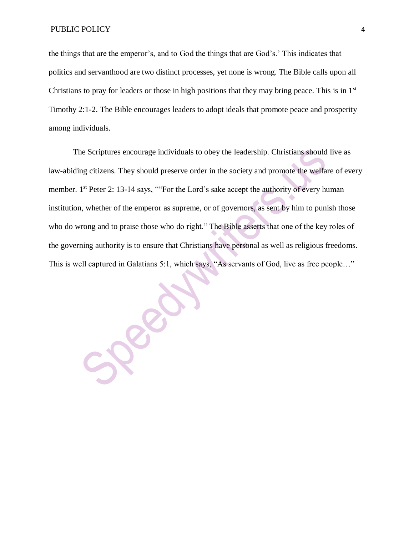the things that are the emperor's, and to God the things that are God's.' This indicates that politics and servanthood are two distinct processes, yet none is wrong. The Bible calls upon all Christians to pray for leaders or those in high positions that they may bring peace. This is in  $1<sup>st</sup>$ Timothy 2:1-2. The Bible encourages leaders to adopt ideals that promote peace and prosperity among individuals.

The Scriptures encourage individuals to obey the leadership. Christians should live as law-abiding citizens. They should preserve order in the society and promote the welfare of every member. 1<sup>st</sup> Peter 2: 13-14 says, ""For the Lord's sake accept the authority of every human institution, whether of the emperor as supreme, or of governors, as sent by him to punish those who do wrong and to praise those who do right." The Bible asserts that one of the key roles of the governing authority is to ensure that Christians have personal as well as religious freedoms. This is well captured in Galatians 5:1, which says, "As servants of God, live as free people…"

SPERIN